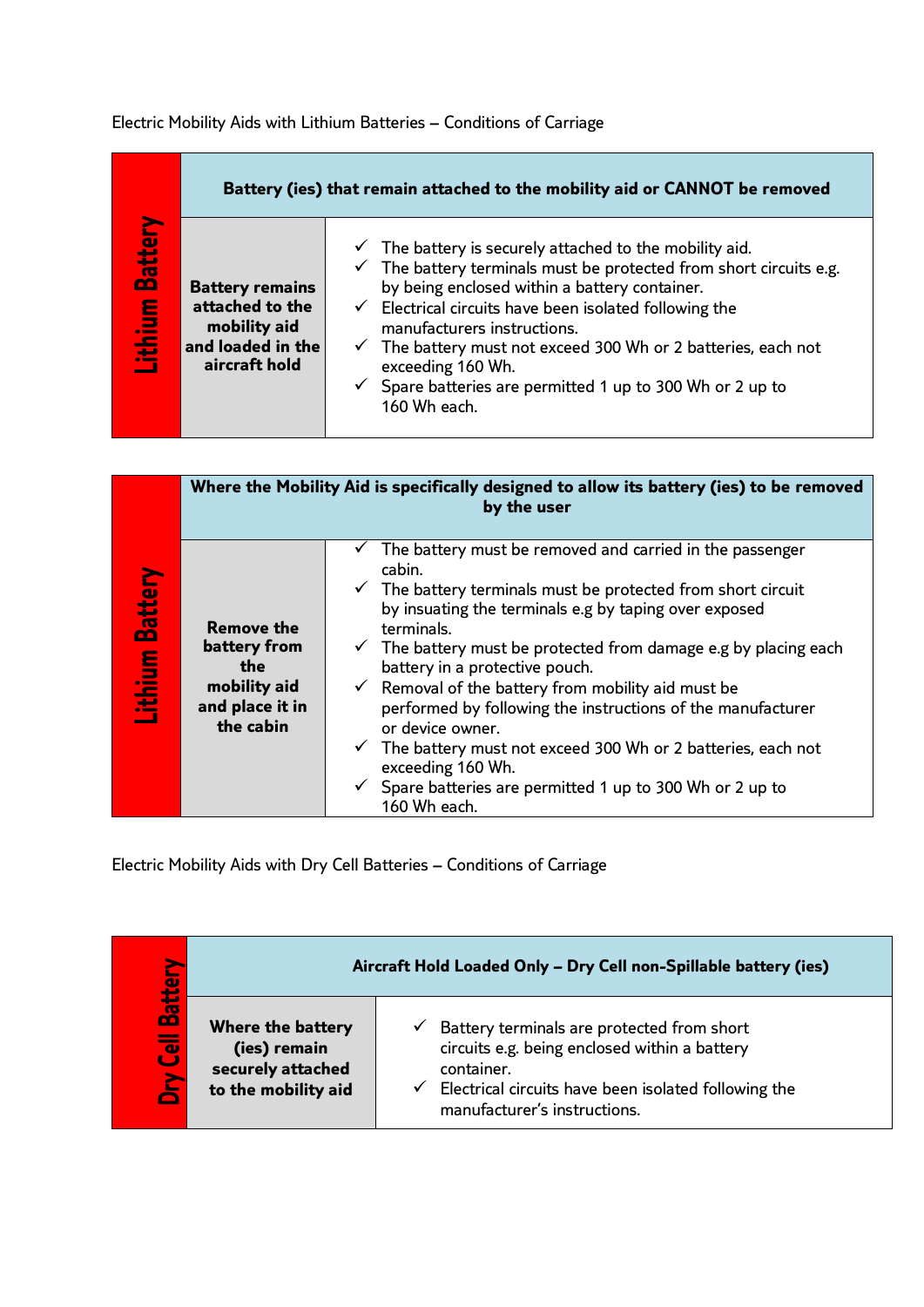Electric Mobility Aids with Lithium Batteries – Conditions of Carriage

|                    | Battery (ies) that remain attached to the mobility aid or CANNOT be removed                     |                                                                                                                                                                                                                                                                                                                                                                                                                                                                         |  |
|--------------------|-------------------------------------------------------------------------------------------------|-------------------------------------------------------------------------------------------------------------------------------------------------------------------------------------------------------------------------------------------------------------------------------------------------------------------------------------------------------------------------------------------------------------------------------------------------------------------------|--|
| Battery<br>Lithium | <b>Battery remains</b><br>attached to the<br>mobility aid<br>and loaded in the<br>aircraft hold | $\checkmark$ The battery is securely attached to the mobility aid.<br>The battery terminals must be protected from short circuits e.g.<br>by being enclosed within a battery container.<br>$\checkmark$ Electrical circuits have been isolated following the<br>manufacturers instructions.<br>$\checkmark$ The battery must not exceed 300 Wh or 2 batteries, each not<br>exceeding 160 Wh.<br>Spare batteries are permitted 1 up to 300 Wh or 2 up to<br>160 Wh each. |  |

|                                  | Where the Mobility Aid is specifically designed to allow its battery (ies) to be removed<br>by the user |                                                                                                                                                                                                                                                                                                                                                                                                                                                                                                                                                                                                                                            |  |
|----------------------------------|---------------------------------------------------------------------------------------------------------|--------------------------------------------------------------------------------------------------------------------------------------------------------------------------------------------------------------------------------------------------------------------------------------------------------------------------------------------------------------------------------------------------------------------------------------------------------------------------------------------------------------------------------------------------------------------------------------------------------------------------------------------|--|
| <b>Battery</b><br><b>Lithium</b> | <b>Remove the</b><br>battery from<br>the<br>mobility aid<br>and place it in<br>the cabin                | The battery must be removed and carried in the passenger<br>cabin.<br>$\checkmark$ The battery terminals must be protected from short circuit<br>by insuating the terminals e.g by taping over exposed<br>terminals.<br>The battery must be protected from damage e.g by placing each<br>battery in a protective pouch.<br>$\checkmark$ Removal of the battery from mobility aid must be<br>performed by following the instructions of the manufacturer<br>or device owner.<br>The battery must not exceed 300 Wh or 2 batteries, each not<br>exceeding 160 Wh.<br>Spare batteries are permitted 1 up to 300 Wh or 2 up to<br>160 Wh each. |  |

Electric Mobility Aids with Dry Cell Batteries – Conditions of Carriage

| <b>la</b>                    | Aircraft Hold Loaded Only - Dry Cell non-Spillable battery (ies)                     |                                                                                                                                                                                                   |
|------------------------------|--------------------------------------------------------------------------------------|---------------------------------------------------------------------------------------------------------------------------------------------------------------------------------------------------|
| $\vec{a}$<br><b>Joy Cell</b> | <b>Where the battery</b><br>(ies) remain<br>securely attached<br>to the mobility aid | Battery terminals are protected from short<br>circuits e.g. being enclosed within a battery<br>container.<br>Electrical circuits have been isolated following the<br>manufacturer's instructions. |